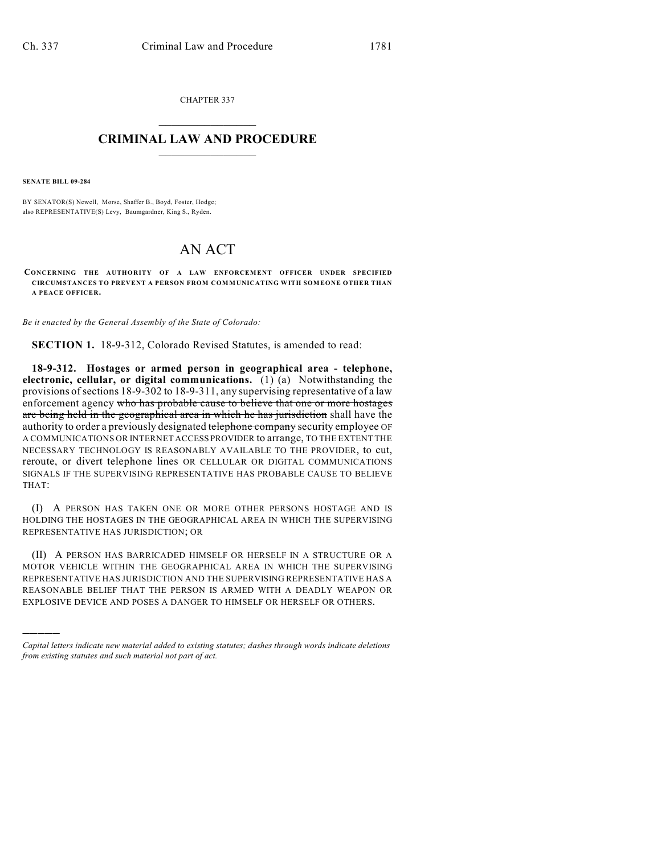CHAPTER 337  $\overline{\phantom{a}}$  . The set of the set of the set of the set of the set of the set of the set of the set of the set of the set of the set of the set of the set of the set of the set of the set of the set of the set of the set o

## **CRIMINAL LAW AND PROCEDURE**  $\frac{1}{2}$  ,  $\frac{1}{2}$  ,  $\frac{1}{2}$  ,  $\frac{1}{2}$  ,  $\frac{1}{2}$  ,  $\frac{1}{2}$  ,  $\frac{1}{2}$

**SENATE BILL 09-284**

)))))

BY SENATOR(S) Newell, Morse, Shaffer B., Boyd, Foster, Hodge; also REPRESENTATIVE(S) Levy, Baumgardner, King S., Ryden.

## AN ACT

**CONCERNING THE AUTHORITY OF A LAW ENFORCEMENT OFFICER UNDER SPECIFIED CIRCUMSTANCES TO PREVENT A PERSON FROM COMMUNICATING WITH SOMEONE OTHER THAN A PEACE OFFICER.**

*Be it enacted by the General Assembly of the State of Colorado:*

**SECTION 1.** 18-9-312, Colorado Revised Statutes, is amended to read:

**18-9-312. Hostages or armed person in geographical area - telephone, electronic, cellular, or digital communications.** (1) (a) Notwithstanding the provisions ofsections 18-9-302 to 18-9-311, any supervising representative of a law enforcement agency who has probable cause to believe that one or more hostages are being held in the geographical area in which he has jurisdiction shall have the authority to order a previously designated telephone company security employee OF A COMMUNICATIONS OR INTERNET ACCESS PROVIDER to arrange, TO THE EXTENT THE NECESSARY TECHNOLOGY IS REASONABLY AVAILABLE TO THE PROVIDER, to cut, reroute, or divert telephone lines OR CELLULAR OR DIGITAL COMMUNICATIONS SIGNALS IF THE SUPERVISING REPRESENTATIVE HAS PROBABLE CAUSE TO BELIEVE THAT:

(I) A PERSON HAS TAKEN ONE OR MORE OTHER PERSONS HOSTAGE AND IS HOLDING THE HOSTAGES IN THE GEOGRAPHICAL AREA IN WHICH THE SUPERVISING REPRESENTATIVE HAS JURISDICTION; OR

(II) A PERSON HAS BARRICADED HIMSELF OR HERSELF IN A STRUCTURE OR A MOTOR VEHICLE WITHIN THE GEOGRAPHICAL AREA IN WHICH THE SUPERVISING REPRESENTATIVE HAS JURISDICTION AND THE SUPERVISING REPRESENTATIVE HAS A REASONABLE BELIEF THAT THE PERSON IS ARMED WITH A DEADLY WEAPON OR EXPLOSIVE DEVICE AND POSES A DANGER TO HIMSELF OR HERSELF OR OTHERS.

*Capital letters indicate new material added to existing statutes; dashes through words indicate deletions from existing statutes and such material not part of act.*